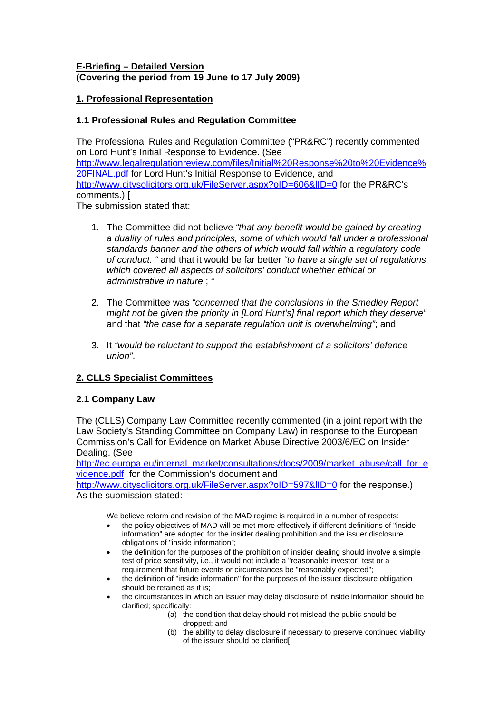## **E-Briefing – Detailed Version (Covering the period from 19 June to 17 July 2009)**

# **1. Professional Representation**

# **1.1 Professional Rules and Regulation Committee**

The Professional Rules and Regulation Committee ("PR&RC") recently commented on Lord Hunt's Initial Response to Evidence. (See [http://www.legalregulationreview.com/files/Initial%20Response%20to%20Evidence%](http://www.legalregulationreview.com/files/Initial Response to Evidence FINAL.pdf) [20FINAL.pdf](http://www.legalregulationreview.com/files/Initial Response to Evidence FINAL.pdf) for Lord Hunt's Initial Response to Evidence, and <http://www.citysolicitors.org.uk/FileServer.aspx?oID=606&lID=0> for the PR&RC's comments.) [ The submission stated that:

1. The Committee did not believe *"that any benefit would be gained by creating a duality of rules and principles, some of which would fall under a professional standards banner and the others of which would fall within a regulatory code of conduct. "* and that it would be far better *"to have a single set of regulations which covered all aspects of solicitors' conduct whether ethical or administrative in nature* ; *"* 

- 2. The Committee was *"concerned that the conclusions in the Smedley Report might not be given the priority in [Lord Hunt's] final report which they deserve"* and that *"the case for a separate regulation unit is overwhelming"*; and
- 3. It *"would be reluctant to support the establishment of a solicitors' defence union"*.

# **2. CLLS Specialist Committees**

## **2.1 Company Law**

The (CLLS) Company Law Committee recently commented (in a joint report with the Law Society's Standing Committee on Company Law) in response to the European Commission's Call for Evidence on Market Abuse Directive 2003/6/EC on Insider Dealing. (See

[http://ec.europa.eu/internal\\_market/consultations/docs/2009/market\\_abuse/call\\_for\\_e](http://ec.europa.eu/internal_market/consultations/docs/2009/market_abuse/call_for_evidence.pdf) [vidence.pdf](http://ec.europa.eu/internal_market/consultations/docs/2009/market_abuse/call_for_evidence.pdf) for the Commission's document and

http://www.citysolicitors.org.uk/FileServer.aspx?oID=597&IID=0 for the response.) As the submission stated:

We believe reform and revision of the MAD regime is required in a number of respects:

- the policy objectives of MAD will be met more effectively if different definitions of "inside information" are adopted for the insider dealing prohibition and the issuer disclosure obligations of "inside information";
- the definition for the purposes of the prohibition of insider dealing should involve a simple test of price sensitivity, i.e., it would not include a "reasonable investor" test or a requirement that future events or circumstances be "reasonably expected";
- the definition of "inside information" for the purposes of the issuer disclosure obligation should be retained as it is;
- the circumstances in which an issuer may delay disclosure of inside information should be clarified; specifically:
	- (a) the condition that delay should not mislead the public should be dropped; and
	- (b) the ability to delay disclosure if necessary to preserve continued viability of the issuer should be clarified[;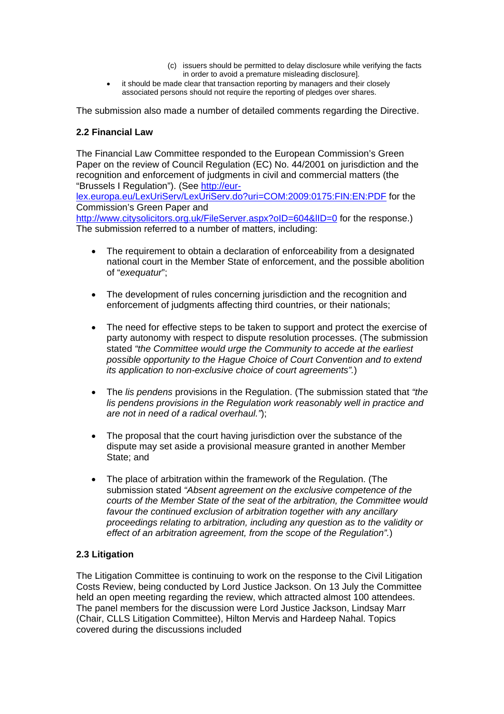- (c) issuers should be permitted to delay disclosure while verifying the facts in order to avoid a premature misleading disclosure].
- it should be made clear that transaction reporting by managers and their closely associated persons should not require the reporting of pledges over shares.

The submission also made a number of detailed comments regarding the Directive.

## **2.2 Financial Law**

The Financial Law Committee responded to the European Commission's Green Paper on the review of Council Regulation (EC) No. 44/2001 on jurisdiction and the recognition and enforcement of judgments in civil and commercial matters (the "Brussels I Regulation"). (See <u>http://eur-</u>

[lex.europa.eu/LexUriServ/LexUriServ.do?uri=COM:2009:0175:FIN:EN:PDF](http://eur-lex.europa.eu/LexUriServ/LexUriServ.do?uri=COM:2009:0175:FIN:EN:PDF) for the Commission's Green Paper and

http://www.citysolicitors.org.uk/FileServer.aspx?oID=604&IID=0 for the response.) The submission referred to a number of matters, including:

- The requirement to obtain a declaration of enforceability from a designated national court in the Member State of enforcement, and the possible abolition of "*exequatur*";
- The development of rules concerning jurisdiction and the recognition and enforcement of judgments affecting third countries, or their nationals;
- The need for effective steps to be taken to support and protect the exercise of party autonomy with respect to dispute resolution processes. (The submission stated *"the Committee would urge the Community to accede at the earliest possible opportunity to the Hague Choice of Court Convention and to extend its application to non-exclusive choice of court agreements".*)
- The *lis pendens* provisions in the Regulation. (The submission stated that *"the lis pendens provisions in the Regulation work reasonably well in practice and are not in need of a radical overhaul."*);
- The proposal that the court having jurisdiction over the substance of the dispute may set aside a provisional measure granted in another Member State; and
- The place of arbitration within the framework of the Regulation. (The submission stated *"Absent agreement on the exclusive competence of the courts of the Member State of the seat of the arbitration, the Committee would favour the continued exclusion of arbitration together with any ancillary proceedings relating to arbitration, including any question as to the validity or effect of an arbitration agreement, from the scope of the Regulation".*)

## **2.3 Litigation**

The Litigation Committee is continuing to work on the response to the Civil Litigation Costs Review, being conducted by Lord Justice Jackson. On 13 July the Committee held an open meeting regarding the review, which attracted almost 100 attendees. The panel members for the discussion were Lord Justice Jackson, Lindsay Marr (Chair, CLLS Litigation Committee), Hilton Mervis and Hardeep Nahal. Topics covered during the discussions included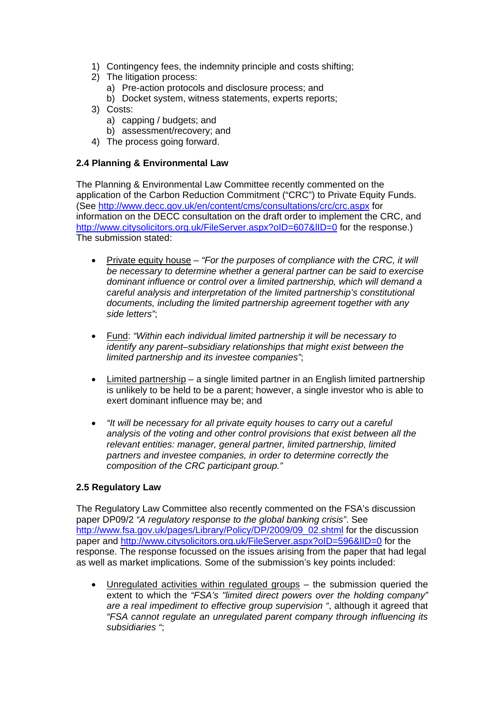- 1) Contingency fees, the indemnity principle and costs shifting;
- 2) The litigation process:
	- a) Pre-action protocols and disclosure process; and
	- b) Docket system, witness statements, experts reports;
- 3) Costs:
	- a) capping / budgets; and
	- b) assessment/recovery; and
- 4) The process going forward.

## **2.4 Planning & Environmental Law**

The Planning & Environmental Law Committee recently commented on the application of the Carbon Reduction Commitment ("CRC") to Private Equity Funds. (See<http://www.decc.gov.uk/en/content/cms/consultations/crc/crc.aspx> for information on the DECC consultation on the draft order to implement the CRC, and http://www.citysolicitors.org.uk/FileServer.aspx?oID=607&IID=0 for the response.) The submission stated:

- Private equity house *"For the purposes of compliance with the CRC, it will be necessary to determine whether a general partner can be said to exercise dominant influence or control over a limited partnership, which will demand a careful analysis and interpretation of the limited partnership's constitutional documents, including the limited partnership agreement together with any side letters"*;
- Fund: *"Within each individual limited partnership it will be necessary to identify any parent–subsidiary relationships that might exist between the limited partnership and its investee companies"*;
- Limited partnership a single limited partner in an English limited partnership is unlikely to be held to be a parent; however, a single investor who is able to exert dominant influence may be; and
- *"It will be necessary for all private equity houses to carry out a careful analysis of the voting and other control provisions that exist between all the relevant entities: manager, general partner, limited partnership, limited partners and investee companies, in order to determine correctly the composition of the CRC participant group."*

## **2.5 Regulatory Law**

The Regulatory Law Committee also recently commented on the FSA's discussion paper DP09/2 *"A regulatory response to the global banking crisis"*. See [http://www.fsa.gov.uk/pages/Library/Policy/DP/2009/09\\_02.shtml](http://www.fsa.gov.uk/pages/Library/Policy/DP/2009/09_02.shtml) for the discussion paper and http://www.citysolicitors.org.uk/FileServer.aspx?oID=596&IID=0 for the response. The response focussed on the issues arising from the paper that had legal as well as market implications. Some of the submission's key points included:

Unregulated activities within regulated groups  $-$  the submission queried the extent to which the *"FSA's "limited direct powers over the holding company" are a real impediment to effective group supervision "*, although it agreed that *"FSA cannot regulate an unregulated parent company through influencing its subsidiaries "*;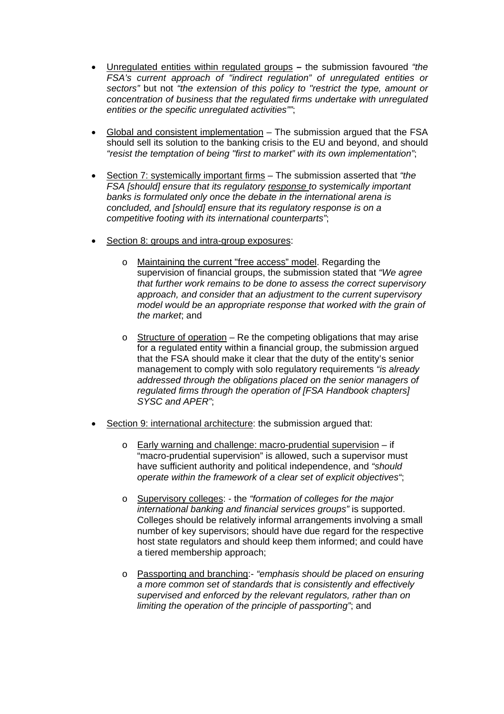- Unregulated entities within regulated groupsthe submission favoured *"the FSA's current approach of "indirect regulation" of unregulated entities or sectors"* but not *"the extension of this policy to "restrict the type, amount or concentration of business that the regulated firms undertake with unregulated entities or the specific unregulated activities""*;
- Global and consistent implementation The submission argued that the FSA should sell its solution to the banking crisis to the EU and beyond, and should *"resist the temptation of being "first to market" with its own implementation"*;
- Section 7: systemically important firms The submission asserted that *"the FSA [should] ensure that its regulatory response to systemically important banks is formulated only once the debate in the international arena is concluded, and [should] ensure that its regulatory response is on a competitive footing with its international counterparts"*;
- Section 8: groups and intra-group exposures:
	- o Maintaining the current "free access" model. Regarding the supervision of financial groups, the submission stated that *"We agree that further work remains to be done to assess the correct supervisory approach, and consider that an adjustment to the current supervisory model would be an appropriate response that worked with the grain of the market*; and
	- $\circ$  Structure of operation Re the competing obligations that may arise for a regulated entity within a financial group, the submission argued that the FSA should make it clear that the duty of the entity's senior management to comply with solo regulatory requirements *"is already addressed through the obligations placed on the senior managers of regulated firms through the operation of [FSA Handbook chapters] SYSC and APER"*;
- Section 9: international architecture: the submission argued that:
	- o Early warning and challenge: macro-prudential supervision if "macro-prudential supervision" is allowed, such a supervisor must have sufficient authority and political independence, and *"should operate within the framework of a clear set of explicit objectives"*;
	- o Supervisory colleges: the *"formation of colleges for the major international banking and financial services groups"* is supported. Colleges should be relatively informal arrangements involving a small number of key supervisors; should have due regard for the respective host state regulators and should keep them informed; and could have a tiered membership approach;
	- o Passporting and branching:- *"emphasis should be placed on ensuring a more common set of standards that is consistently and effectively supervised and enforced by the relevant regulators, rather than on limiting the operation of the principle of passporting"*; and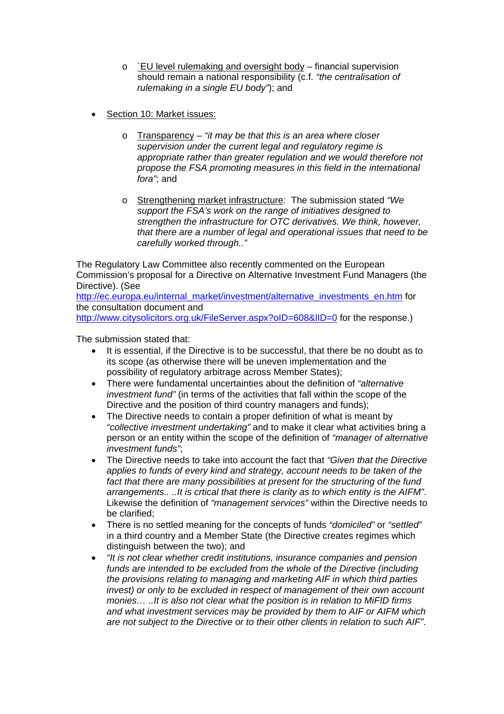- o `EU level rulemaking and oversight body financial supervision should remain a national responsibility (c.f. *"the centralisation of rulemaking in a single EU body"*); and
- Section 10: Market issues:
	- o Transparency – *"it may be that this is an area where closer supervision under the current legal and regulatory regime is appropriate rather than greater regulation and we would therefore not propose the FSA promoting measures in this field in the international fora"*; and
	- o Strengthening market infrastructure: The submission stated *"We support the FSA's work on the range of initiatives designed to strengthen the infrastructure for OTC derivatives. We think, however, that there are a number of legal and operational issues that need to be carefully worked through.."*

The Regulatory Law Committee also recently commented on the European Commission's proposal for a Directive on Alternative Investment Fund Managers (the Directive). (See

[http://ec.europa.eu/internal\\_market/investment/alternative\\_investments\\_en.htm](http://ec.europa.eu/internal_market/investment/alternative_investments_en.htm) for the consultation document and

http://www.citysolicitors.org.uk/FileServer.aspx?oID=608&IID=0 for the response.)

The submission stated that:

- It is essential, if the Directive is to be successful, that there be no doubt as to its scope (as otherwise there will be uneven implementation and the possibility of regulatory arbitrage across Member States);
- There were fundamental uncertainties about the definition of *"alternative investment fund"* (in terms of the activities that fall within the scope of the Directive and the position of third country managers and funds);
- The Directive needs to contain a proper definition of what is meant by *"collective investment undertaking"* and to make it clear what activities bring a person or an entity within the scope of the definition of *"manager of alternative investment funds"*;
- The Directive needs to take into account the fact that *"Given that the Directive applies to funds of every kind and strategy, account needs to be taken of the*  fact that there are many possibilities at present for the structuring of the fund *arrangements.. ..It is crtical that there is clarity as to which entity is the AIFM"*. Likewise the definition of *"management services"* within the Directive needs to be clarified;
- There is no settled meaning for the concepts of funds *"domiciled"* or *"settled"* in a third country and a Member State (the Directive creates regimes which distinguish between the two); and
- *"It is not clear whether credit institutions, insurance companies and pension funds are intended to be excluded from the whole of the Directive (including the provisions relating to managing and marketing AIF in which third parties invest)* or only to be excluded in respect of management of their own account *monies… ..It is also not clear what the position is in relation to MiFID firms and what investment services may be provided by them to AIF or AIFM which are not subject to the Directive or to their other clients in relation to such AIF"*.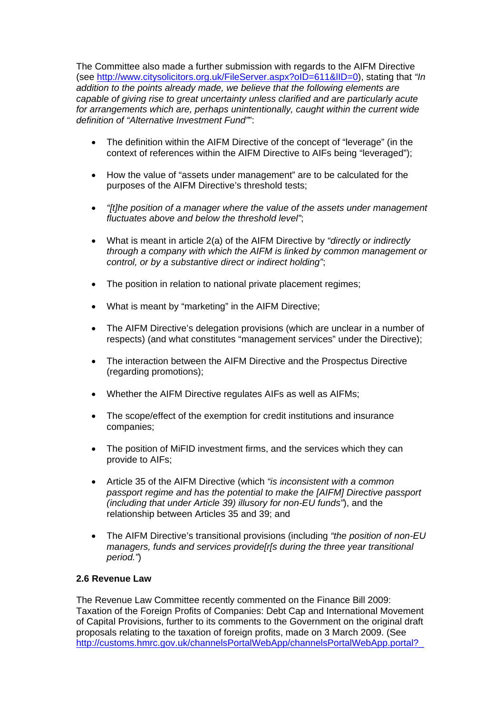The Committee also made a further submission with regards to the AIFM Directive (see [http://www.citysolicitors.org.uk/FileServer.aspx?oID=611&lID=0\)](http://www.citysolicitors.org.uk/FileServer.aspx?oID=611&lID=0), stating that *"In addition to the points already made, we believe that the following elements are capable of giving rise to great uncertainty unless clarified and are particularly acute*  for arrangements which are, perhaps unintentionally, caught within the current wide *definition of "Alternative Investment Fund"*":

- The definition within the AIFM Directive of the concept of "leverage" (in the context of references within the AIFM Directive to AIFs being "leveraged");
- How the value of "assets under management" are to be calculated for the purposes of the AIFM Directive's threshold tests;
- *"[t]he position of a manager where the value of the assets under management fluctuates above and below the threshold level"*;
- What is meant in article 2(a) of the AIFM Directive by *"directly or indirectly through a company with which the AIFM is linked by common management or control, or by a substantive direct or indirect holding"*;
- The position in relation to national private placement regimes;
- What is meant by "marketing" in the AIFM Directive;
- The AIFM Directive's delegation provisions (which are unclear in a number of respects) (and what constitutes "management services" under the Directive);
- The interaction between the AIFM Directive and the Prospectus Directive (regarding promotions);
- Whether the AIFM Directive regulates AIFs as well as AIFMs;
- The scope/effect of the exemption for credit institutions and insurance companies;
- The position of MiFID investment firms, and the services which they can provide to AIFs;
- Article 35 of the AIFM Directive (which *"is inconsistent with a common passport regime and has the potential to make the [AIFM] Directive passport (including that under Article 39) illusory for non-EU funds"*), and the relationship between Articles 35 and 39; and
- The AIFM Directive's transitional provisions (including *"the position of non-EU managers, funds and services provide[r[s during the three year transitional period."*)

## **2.6 Revenue Law**

The Revenue Law Committee recently commented on the Finance Bill 2009: Taxation of the Foreign Profits of Companies: Debt Cap and International Movement of Capital Provisions, further to its comments to the Government on the original draft proposals relating to the taxation of foreign profits, made on 3 March 2009. (See [http://customs.hmrc.gov.uk/channelsPortalWebApp/channelsPortalWebApp.portal?\\_](http://customs.hmrc.gov.uk/channelsPortalWebApp/channelsPortalWebApp.portal?_nfpb=true&_pageLabel=pageLibrary_ConsultationDocuments&id=HMCE_PROD1_029074&propertyType=document)